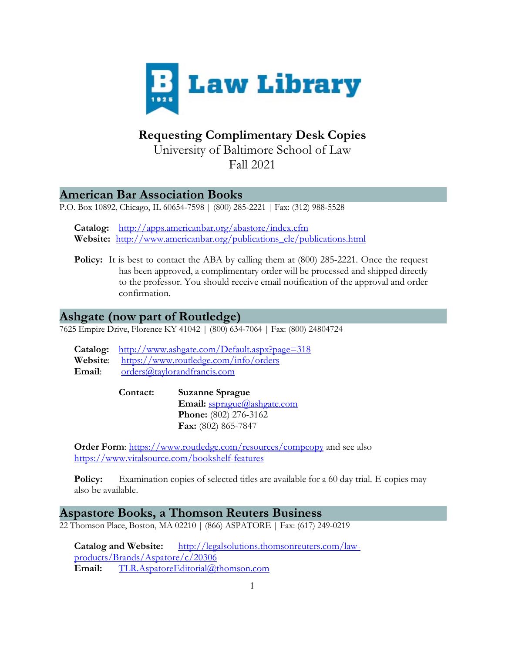

# **Requesting Complimentary Desk Copies**

University of Baltimore School of Law Fall 2021

# **American Bar Association Books**

P.O. Box 10892, Chicago, IL 60654-7598 | (800) 285-2221 | Fax: (312) 988-5528

**Catalog:** <http://apps.americanbar.org/abastore/index.cfm> **Website:** [http://www.americanbar.org/publications\\_cle/publications.html](http://www.americanbar.org/publications_cle/publications.html)

**Policy:** It is best to contact the ABA by calling them at  $(800)$  285-2221. Once the request has been approved, a complimentary order will be processed and shipped directly to the professor. You should receive email notification of the approval and order confirmation.

# **Ashgate (now part of Routledge)**

7625 Empire Drive, Florence KY 41042 | (800) 634-7064 | Fax: (800) 24804724

|        | <b>Catalog:</b> http://www.ashgate.com/Default.aspx?page=318 |
|--------|--------------------------------------------------------------|
|        | Website: https://www.routledge.com/info/orders               |
| Email: | orders@taylor and francis.com                                |

**Contact: Suzanne Sprague** Email: [ssprague@ashgate.com](mailto:ssprague@ashgate.com) **Phone:** (802) 276-3162 **Fax:** (802) 865-7847

**Order Form:**<https://www.routledge.com/resources/compcopy> and see also <https://www.vitalsource.com/bookshelf-features>

**Policy:** Examination copies of selected titles are available for a 60 day trial. E-copies may also be available.

## **Aspastore Books, a Thomson Reuters Business**

22 Thomson Place, Boston, MA 02210 | (866) ASPATORE | Fax: (617) 249-0219

**Catalog and Website:** [http://legalsolutions.thomsonreuters.com/law](http://legalsolutions.thomsonreuters.com/law-products/Brands/Aspatore/c/20306)[products/Brands/Aspatore/c/20306](http://legalsolutions.thomsonreuters.com/law-products/Brands/Aspatore/c/20306) **Email:** [TLR.AspatoreEditorial@thomson.com](mailto:TLR.AspatoreEditorial@thomson.com)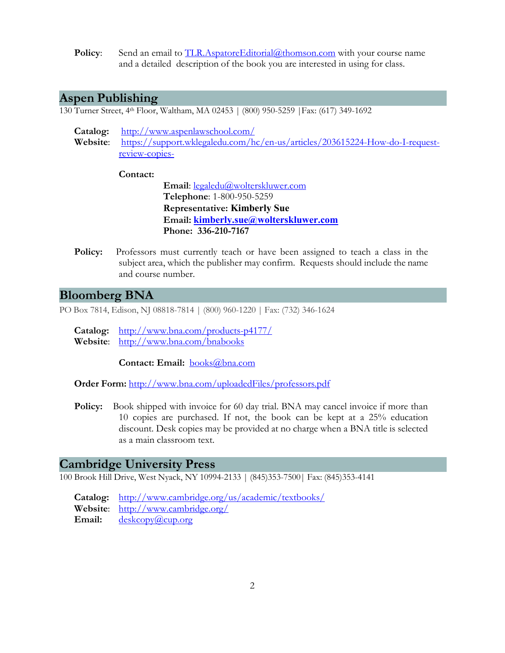**Policy:** Send an email to [TLR.AspatoreEditorial@thomson.com](mailto:TLR.AspatoreEditorial@thomson.com) with your course name and a detailed description of the book you are [interested](mailto:TLR.AspatoreEditorial@thomson.com) in using for class.

# **Aspen Publishing**

130 Turner Street, 4th Floor, Waltham, MA 02453 | (800) 950-5259 |Fax: (617) 349-1692

**Catalog:** <http://www.aspenlawschool.com/> **Website**: [https://support.wklegaledu.com/hc/en-us/articles/203615224-How-do-I-request](https://support.wklegaledu.com/hc/en-us/articles/203615224-How-do-I-request-review-copies-)[review-copies-](https://support.wklegaledu.com/hc/en-us/articles/203615224-How-do-I-request-review-copies-)

**Contact:**

**Email**: [legaledu@wolterskluwer.com](mailto:legaledu@wolterskluwer.com) **Telephone**: 1-800-950-5259 **Representative: Kimberly Sue Email: [kimberly.sue@wolterskluwer.com](mailto:kimberly.sue@wolterskluwer.com) Phone: 336-210-7167**

**Policy:** Professors must currently teach or have been assigned to teach a class in the subject area, which the publisher may confirm. Requests should include the name and course number.

# **Bloomberg BNA**

PO Box 7814, Edison, NJ 08818-7814 | (800) 960-1220 | Fax: (732) 346-1624

**Catalog:** <http://www.bna.com/products-p4177/> **Website**: <http://www.bna.com/bnabooks>

**Contact: Email:** [books@bna.com](mailto:books@bna.com)

**Order Form:** <http://www.bna.com/uploadedFiles/professors.pdf>

**Policy:** Book shipped with invoice for 60 day trial. BNA may cancel invoice if more than 10 copies are purchased. If not, the book can be kept at a 25% education discount. Desk copies may be provided at no charge when a BNA title is selected as a main classroom text.

## **Cambridge University Press**

100 Brook Hill Drive, West Nyack, NY 10994-2133 | (845)353-7500| Fax: (845)353-4141

**Catalog:** <http://www.cambridge.org/us/academic/textbooks/> **Website**: <http://www.cambridge.org/> Email: [deskcopy@cup.org](mailto:deskcopy@cup.org)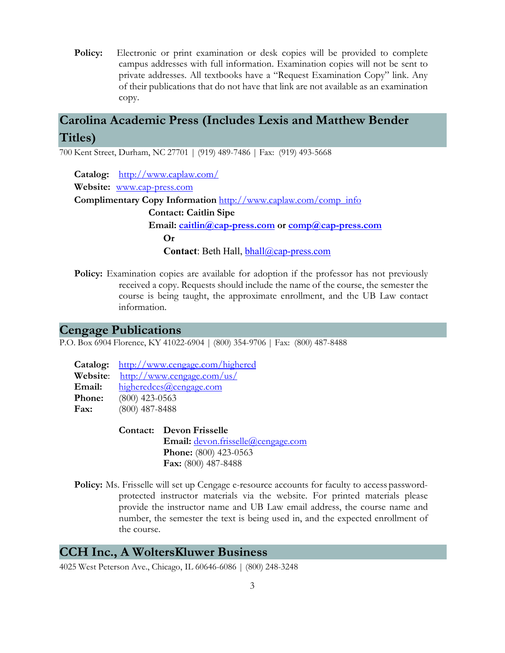**Policy:** Electronic or print examination or desk copies will be provided to complete campus addresses with full information. Examination copies will not be sent to private addresses. All textbooks have a "Request Examination Copy" link. Any of their publications that do not have that link are not available as an examination copy.

# **Carolina Academic Press (Includes Lexis and Matthew Bender Titles)**

700 Kent Street, Durham, NC 27701 | (919) 489-7486 | Fax: (919) 493-5668

**Catalog:** <http://www.caplaw.com/> **Website:** [www.cap-press.com](http://www.cap-press.com/) **Complimentary Copy Information** [http://www.caplaw.com/comp\\_info](http://www.caplaw.com/comp_info) **Contact: Caitlin Sipe** Email: [caitlin@cap-press.com](mailto:caitlin@cap-press.com) or [comp@cap-press.com](mailto:comp@cap-press.com) **Or Contact**: Beth Hall, [bhall@cap-press.com](mailto:bhall@cap-press.com)

**Policy:** Examination copies are available for adoption if the professor has not previously received a copy. Requests should include the name of the course, the semester the course is being taught, the approximate enrollment, and the UB Law contact information.

### **Cengage Publications**

P.O. Box 6904 Florence, KY 41022-6904 | (800) 354-9706 | Fax: (800) 487-8488

|          | Catalog: http://www.cengage.com/highered |
|----------|------------------------------------------|
| Website: | http://www.cengage.com/us/               |
| Email:   | higheredces@cengage.com                  |
| Phone:   | $(800)$ 423-0563                         |
| Fax:     | $(800)$ 487-8488                         |

**Contact: Devon Frisselle Email:** [devon.frisselle@cengage.com](mailto:devon.frisselle@cengage.com) **Phone:** (800) 423-0563 **Fax:** (800) 487-8488

**Policy:** Ms. Frisselle will set up Cengage e-resource accounts for faculty to access passwordprotected instructor materials via the website. For printed materials please provide the instructor name and UB Law email address, the course name and number, the semester the text is being used in, and the expected enrollment of the course.

# **CCH Inc., A WoltersKluwer Business**

4025 West Peterson Ave., Chicago, IL 60646-6086 | (800) 248-3248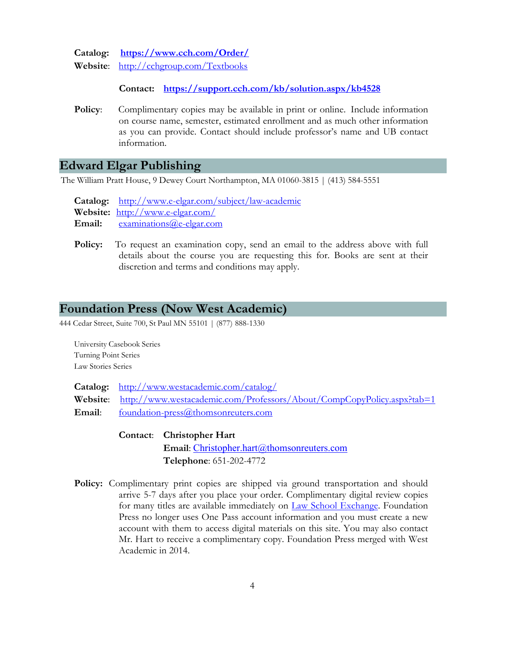**Catalog: <https://www.cch.com/Order/>**

**Website**: <http://cchgroup.com/Textbooks>

**Contact: <https://support.cch.com/kb/solution.aspx/kb4528>**

**Policy**: Complimentary copies may be available in print or online. Include information on course name, semester, estimated enrollment and as much other information as you can provide. Contact should include professor's name and UB contact information.

### **Edward Elgar Publishing**

The William Pratt House, 9 Dewey Court Northampton, MA 01060-3815 | (413) 584-5551

**Catalog:** <http://www.e-elgar.com/subject/law-academic> **Website:** <http://www.e-elgar.com/> **Email:** [examinations@e-elgar.com](mailto:examinations@e-elgar.com)

Policy: To request an examination copy, send an email to the address above with full details about the course you are requesting this for. Books are sent at their discretion and terms and conditions may apply.

## **Foundation Press (Now West Academic)**

444 Cedar Street, Suite 700, St Paul MN 55101 | (877) 888-1330

University Casebook Series Turning Point Series Law Stories Series

**Catalog:** <http://www.westacademic.com/catalog/> **Website**: <http://www.westacademic.com/Professors/About/CompCopyPolicy.aspx?tab=1> Email: [foundation-press@thomsonreuters.com](mailto:foundation-press@thomsonreuters.com)

- **Contact**: **Christopher Hart** Email: [Christopher.hart@thomsonreuters.com](mailto:Christopher.hart@thomsonreuters.com) **Telephone**: 651-202-4772
- **Policy:** Complimentary print copies are shipped via ground transportation and should arrive 5-7 days after you place your order. Complimentary digital review copies for many titles are available immediately on [Law School Exchange.](http://exchange.westlaw.com/) Foundation Press no longer uses One Pass account information and you must create a new account with them to access digital materials on this site. You may also contact Mr. Hart to receive a complimentary copy. Foundation Press merged with West Academic in 2014.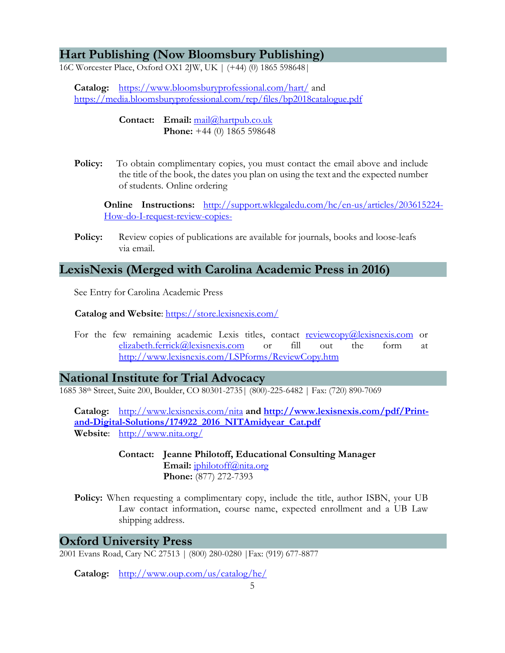# **Hart Publishing (Now Bloomsbury Publishing)**

16C Worcester Place, Oxford OX1 2JW, UK | (+44) (0) 1865 598648|

**Catalog:** <https://www.bloomsburyprofessional.com/hart/> and <https://media.bloomsburyprofessional.com/rep/files/bp2018catalogue.pdf>

> **Contact: Email:** [mail@hartpub.co.uk](mailto:mail@hartpub.co.uk) **Phone:** +44 (0) 1865 598648

**Policy:** To obtain complimentary copies, you must contact the email above and include the title of the book, the dates you plan on using the text and the expected number of students. Online ordering

**Online Instructions:** [http://support.wklegaledu.com/hc/en-us/articles/203615224-](http://support.wklegaledu.com/hc/en-us/articles/203615224-How-do-I-request-review-copies-) [How-do-I-request-review-copies-](http://support.wklegaledu.com/hc/en-us/articles/203615224-How-do-I-request-review-copies-)

**Policy:** Review copies of publications are available for journals, books and loose-leafs via email.

# **LexisNexis (Merged with Carolina Academic Press in 2016)**

See Entry for Carolina Academic Press

**Catalog and Website**: <https://store.lexisnexis.com/>

For the few remaining academic Lexis titles, contact [reviewcopy@lexisnexis.com](mailto:reviewcopy@lexisnexis.com) or [elizabeth.ferrick@lexisnexis.com](mailto:elizabeth.ferrick@lexisnexis.com) or fill out the form at <http://www.lexisnexis.com/LSPforms/ReviewCopy.htm>

**National Institute for Trial Advocacy**

1685 38th Street, Suite 200, Boulder, CO 80301-2735| (800)-225-6482 | Fax: (720) 890-7069

**Catalog:** <http://www.lexisnexis.com/nita> **and [http://www.lexisnexis.com/pdf/Print](http://www.lexisnexis.com/pdf/Print-and-Digital-Solutions/174922_2016_NITAmidyear_Cat.pdf)[and-Digital-Solutions/174922\\_2016\\_NITAmidyear\\_Cat.pdf](http://www.lexisnexis.com/pdf/Print-and-Digital-Solutions/174922_2016_NITAmidyear_Cat.pdf) Website**: <http://www.nita.org/>

- **Contact: Jeanne Philotoff, Educational Consulting Manager Email:** [jphilotoff@nita.org](mailto:jphilotoff@nita.org) **Phone:** (877) 272-7393
- **Policy:** When requesting a complimentary copy, include the title, author ISBN, your UB Law contact information, course name, expected enrollment and a UB Law shipping address.

## **Oxford University Press**

2001 Evans Road, Cary NC 27513 | (800) 280-0280 |Fax: (919) 677-8877

**Catalog:** <http://www.oup.com/us/catalog/he/>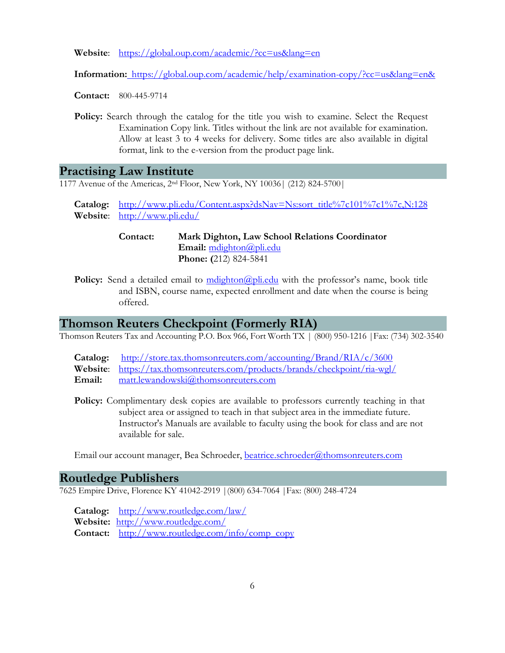**Website**: <https://global.oup.com/academic/?cc=us&lang=en>

**Information:** [https://global.oup.com/academic/help/examination-copy/?cc=us&lang=en&](https://global.oup.com/academic/help/examination-copy/?cc=us&lang=en)

**Contact:** 800-445-9714

**Policy:** Search through the catalog for the title you wish to examine. Select the Request Examination Copy link. Titles without the link are not available for examination. Allow at least 3 to 4 weeks for delivery. Some titles are also available in digital format, link to the e-version from the product page link.

#### **Practising Law Institute**

1177 Avenue of the Americas, 2nd Floor, New York, NY 10036| (212) 824-5700|

**Catalog:** [http://www.pli.edu/Content.aspx?dsNav=Ns:sort\\_title%7c101%7c1%7c,N:128](http://www.pli.edu/Content.aspx?dsNav=Ns%3Asort_title%7c101%7c1%7c%2CN%3A128) **Website**: <http://www.pli.edu/>

> **Contact: Mark Dighton, Law School Relations Coordinator Email:** [mdighton@pli.edu](mailto:mdighton@pli.edu) **Phone: (**212) 824-5841

**Policy:** Send a detailed email to modighton (apli.edu with the professor's name, book title and ISBN, course name, expected enrollment and date when the course is being offered.

## **Thomson Reuters Checkpoint (Formerly RIA)**

Thomson Reuters Tax and Accounting P.O. Box 966, Fort Worth TX | (800) 950-1216 |Fax: (734) 302-3540

- **Catalog:** <http://store.tax.thomsonreuters.com/accounting/Brand/RIA/c/3600>
- **Website**: <https://tax.thomsonreuters.com/products/brands/checkpoint/ria-wgl/>

Email: [matt.lewandowski@thomsonreuters.com](mailto:matt.lewandowski@thomsonreuters.com)

Policy: Complimentary desk copies are available to professors currently teaching in that subject area or assigned to teach in that subject area in the immediate future. Instructor's Manuals are available to faculty using the book for class and are not available for sale.

Email our account manager, Bea Schroeder, [beatrice.schroeder@thomsonreuters.com](mailto:beatrice.schroeder@thomsonreuters.com)

#### **Routledge Publishers**

7625 Empire Drive, Florence KY 41042-2919 |(800) 634-7064 |Fax: (800) 248-4724

**Catalog:** <http://www.routledge.com/law/> **Website:** <http://www.routledge.com/> **Contact:** [http://www.routledge.com/info/comp\\_copy](http://www.routledge.com/info/comp_copy)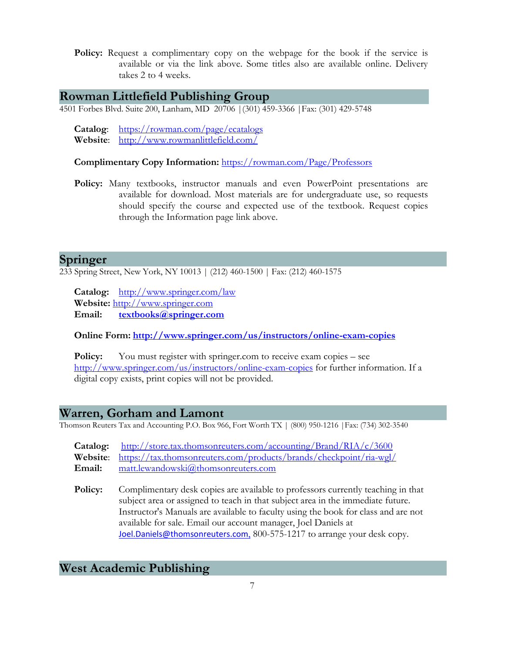**Policy:** Request a complimentary copy on the webpage for the book if the service is available or via the link above. Some titles also are available online. Delivery takes 2 to 4 weeks.

# **Rowman Littlefield Publishing Group**

4501 Forbes Blvd. Suite 200, Lanham, MD 20706 |(301) 459-3366 |Fax: (301) 429-5748

**Catalog**: <https://rowman.com/page/ecatalogs> **Website**: <http://www.rowmanlittlefield.com/>

**Complimentary Copy Information:** <https://rowman.com/Page/Professors>

**Policy:** Many textbooks, instructor manuals and even PowerPoint presentations are available for download. Most materials are for undergraduate use, so requests should specify the course and expected use of the textbook. Request copies through the Information page link above.

### **Springer**

233 Spring Street, New York, NY 10013 | (212) 460-1500 | Fax: (212) 460-1575

**Catalog:** <http://www.springer.com/law> **Website:** [http://www.springer.com](http://www.springer.com/) **Email: [textbooks@springer.com](mailto:textbooks@springer.com)**

**Online Form: <http://www.springer.com/us/instructors/online-exam-copies>**

**Policy:** You must register with springer.com to receive exam copies – see <http://www.springer.com/us/instructors/online-exam-copies> for further information. If a digital copy exists, print copies will not be provided.

### **Warren, Gorham and Lamont**

Thomson Reuters Tax and Accounting P.O. Box 966, Fort Worth TX | (800) 950-1216 |Fax: (734) 302-3540

| <b>Catalog:</b> http://store.tax.thomsonreuters.com/accounting/Brand/RIA/c/3600 |
|---------------------------------------------------------------------------------|
| Website: https://tax.thomsonreuters.com/products/brands/checkpoint/ria-wgl/     |
| <b>Email:</b> matt.lewandowski@thomsonreuters.com                               |

**Policy:** Complimentary desk copies are available to professors currently teaching in that subject area or assigned to teach in that subject area in the immediate future. Instructor's Manuals are available to faculty using the book for class and are not available for sale. Email our account manager, Joel Daniels at [Joel.Daniels@thomsonreuters.com](mailto:Joel.Daniels@thomsonreuters.com), 800-575-1217 to arrange your desk copy.

# **West Academic Publishing**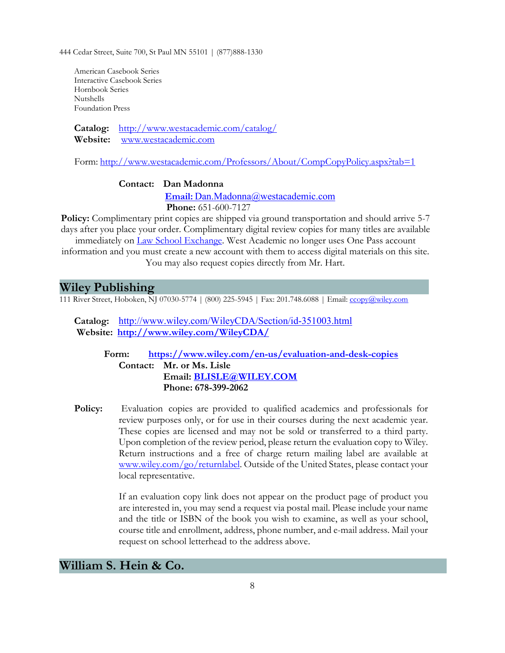444 Cedar Street, Suite 700, St Paul MN 55101 | (877)888-1330

American Casebook Series Interactive Casebook Series Hornbook Series Nutshells Foundation Press

**Catalog:** <http://www.westacademic.com/catalog/> **Website:** [www.westacademic.com](http://www.westacademic.com/)

Form: <http://www.westacademic.com/Professors/About/CompCopyPolicy.aspx?tab=1>

#### **Contact: Dan Madonna**

**Email:** [Dan.Madonna@westacademic.com](mailto:Email:%20Dan.Madonna@westacademic.com)

 **Phone:** 651-600-7127

**Policy:** Complimentary print copies are shipped via ground transportation and should arrive 5-7 days after you place your order. Complimentary digital review copies for many titles are available immediately on [Law School Exchange.](http://exchange.westacademic.com/Login.aspx) West Academic no longer uses One Pass account

information and you must create a new account with them to access digital materials on this site. You may also request copies directly from Mr. Hart.

### **Wiley Publishing**

111 River Street, Hoboken, NJ 07030-5774 | (800) 225-5945 | Fax: 201.748.6088 | Email: [ccopy@wiley.com](mailto:ccopy@wiley.com)

**Catalog:** <http://www.wiley.com/WileyCDA/Section/id-351003.html> **Website: <http://www.wiley.com/WileyCDA/>**

**Form: <https://www.wiley.com/en-us/evaluation-and-desk-copies> Contact: Mr. or Ms. Lisle Email: [BLISLE@WILEY.COM](mailto:BLISLE@WILEY.COM) Phone: 678-399-2062**

**Policy:** Evaluation copies are provided to qualified academics and professionals for review purposes only, or for use in their courses during the next academic year. These copies are licensed and may not be sold or transferred to a third party. Upon completion of the review period, please return the evaluation copy to Wiley. Return instructions and a free of charge return mailing label are available at [www.wiley.com/go/returnlabel.](http://www.wiley.com/go/returnlabel) Outside of the United States, please contact your local representative.

> If an evaluation copy link does not appear on the product page of product you are interested in, you may send a request via postal mail. Please include your name and the title or ISBN of the book you wish to examine, as well as your school, course title and enrollment, address, phone number, and e-mail address. Mail your request on school letterhead to the address above.

# **William S. Hein & Co.**